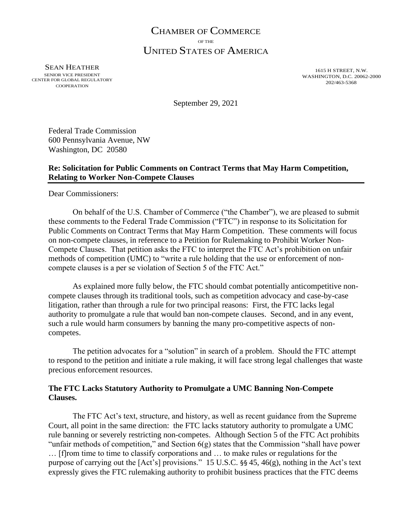# CHAMBER OF COMMERCE OF THE UNITED STATES OF AMERICA

SEAN HEATHER SENIOR VICE PRESIDENT CENTER FOR GLOBAL REGULATORY COOPERATION

1615 H STREET, N.W. WASHINGTON, D.C. 20062-2000 202/463-5368

September 29, 2021

Federal Trade Commission 600 Pennsylvania Avenue, NW Washington, DC 20580

# **Re: Solicitation for Public Comments on Contract Terms that May Harm Competition, Relating to Worker Non-Compete Clauses**

Dear Commissioners:

On behalf of the U.S. Chamber of Commerce ("the Chamber"), we are pleased to submit these comments to the Federal Trade Commission ("FTC") in response to its Solicitation for Public Comments on Contract Terms that May Harm Competition. These comments will focus on non-compete clauses, in reference to a Petition for Rulemaking to Prohibit Worker Non-Compete Clauses. That petition asks the FTC to interpret the FTC Act's prohibition on unfair methods of competition (UMC) to "write a rule holding that the use or enforcement of noncompete clauses is a per se violation of Section 5 of the FTC Act."

As explained more fully below, the FTC should combat potentially anticompetitive noncompete clauses through its traditional tools, such as competition advocacy and case-by-case litigation, rather than through a rule for two principal reasons: First, the FTC lacks legal authority to promulgate a rule that would ban non-compete clauses. Second, and in any event, such a rule would harm consumers by banning the many pro-competitive aspects of noncompetes.

The petition advocates for a "solution" in search of a problem. Should the FTC attempt to respond to the petition and initiate a rule making, it will face strong legal challenges that waste precious enforcement resources.

## **The FTC Lacks Statutory Authority to Promulgate a UMC Banning Non-Compete Clauses.**

The FTC Act's text, structure, and history, as well as recent guidance from the Supreme Court, all point in the same direction: the FTC lacks statutory authority to promulgate a UMC rule banning or severely restricting non-competes. Although Section 5 of the FTC Act prohibits "unfair methods of competition," and Section 6(g) states that the Commission "shall have power … [f]rom time to time to classify corporations and … to make rules or regulations for the purpose of carrying out the [Act's] provisions." 15 U.S.C. §§ 45, 46(g), nothing in the Act's text expressly gives the FTC rulemaking authority to prohibit business practices that the FTC deems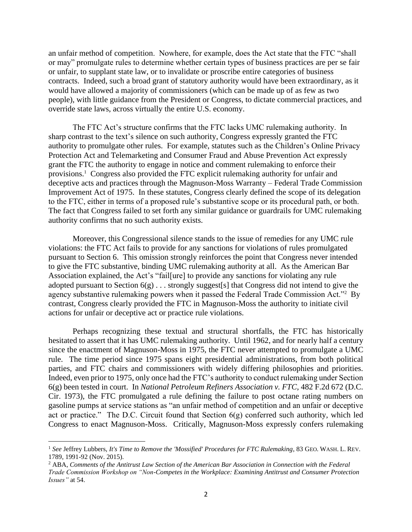an unfair method of competition. Nowhere, for example, does the Act state that the FTC "shall or may" promulgate rules to determine whether certain types of business practices are per se fair or unfair, to supplant state law, or to invalidate or proscribe entire categories of business contracts. Indeed, such a broad grant of statutory authority would have been extraordinary, as it would have allowed a majority of commissioners (which can be made up of as few as two people), with little guidance from the President or Congress, to dictate commercial practices, and override state laws, across virtually the entire U.S. economy.

The FTC Act's structure confirms that the FTC lacks UMC rulemaking authority. In sharp contrast to the text's silence on such authority, Congress expressly granted the FTC authority to promulgate other rules. For example, statutes such as the Children's Online Privacy Protection Act and Telemarketing and Consumer Fraud and Abuse Prevention Act expressly grant the FTC the authority to engage in notice and comment rulemaking to enforce their provisions.<sup>1</sup> Congress also provided the FTC explicit rulemaking authority for unfair and deceptive acts and practices through the Magnuson-Moss Warranty – Federal Trade Commission Improvement Act of 1975. In these statutes, Congress clearly defined the scope of its delegation to the FTC, either in terms of a proposed rule's substantive scope or its procedural path, or both. The fact that Congress failed to set forth any similar guidance or guardrails for UMC rulemaking authority confirms that no such authority exists.

Moreover, this Congressional silence stands to the issue of remedies for any UMC rule violations: the FTC Act fails to provide for any sanctions for violations of rules promulgated pursuant to Section 6. This omission strongly reinforces the point that Congress never intended to give the FTC substantive, binding UMC rulemaking authority at all. As the American Bar Association explained, the Act's "fail[ure] to provide any sanctions for violating any rule adopted pursuant to Section 6(g) . . . strongly suggest[s] that Congress did not intend to give the agency substantive rulemaking powers when it passed the Federal Trade Commission Act."<sup>2</sup> By contrast, Congress clearly provided the FTC in Magnuson-Moss the authority to initiate civil actions for unfair or deceptive act or practice rule violations.

Perhaps recognizing these textual and structural shortfalls, the FTC has historically hesitated to assert that it has UMC rulemaking authority. Until 1962, and for nearly half a century since the enactment of Magnuson-Moss in 1975, the FTC never attempted to promulgate a UMC rule. The time period since 1975 spans eight presidential administrations, from both political parties, and FTC chairs and commissioners with widely differing philosophies and priorities. Indeed, even prior to 1975, only once had the FTC's authority to conduct rulemaking under Section 6(g) been tested in court. In *National Petroleum Refiners Association v. FTC,* 482 F.2d 672 (D.C. Cir. 1973), the FTC promulgated a rule defining the failure to post octane rating numbers on gasoline pumps at service stations as "an unfair method of competition and an unfair or deceptive act or practice." The D.C. Circuit found that Section 6(g) conferred such authority, which led Congress to enact Magnuson-Moss. Critically, Magnuson-Moss expressly confers rulemaking

<sup>1</sup> *See* Jeffrey Lubbers, *It's Time to Remove the 'Mossified' Procedures for FTC Rulemaking*, 83 GEO. WASH. L. REV. 1789, 1991-92 (Nov. 2015).

<sup>2</sup> ABA, *Comments of the Antitrust Law Section of the American Bar Association in Connection with the Federal Trade Commission Workshop on "Non-Competes in the Workplace: Examining Antitrust and Consumer Protection Issues"* at 54.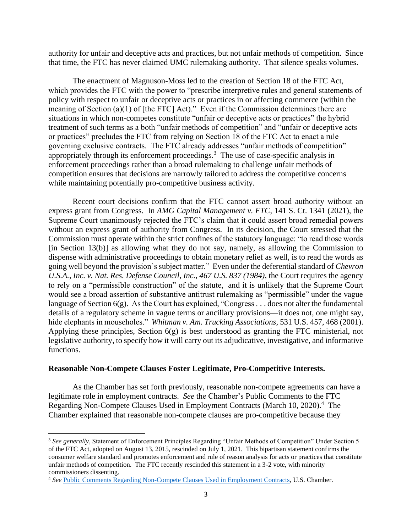authority for unfair and deceptive acts and practices, but not unfair methods of competition. Since that time, the FTC has never claimed UMC rulemaking authority. That silence speaks volumes.

The enactment of Magnuson-Moss led to the creation of Section 18 of the FTC Act, which provides the FTC with the power to "prescribe interpretive rules and general statements of policy with respect to unfair or deceptive acts or practices in or affecting commerce (within the meaning of Section (a)(1) of [the FTC] Act)." Even if the Commission determines there are situations in which non-competes constitute "unfair or deceptive acts or practices" the hybrid treatment of such terms as a both "unfair methods of competition" and "unfair or deceptive acts or practices" precludes the FTC from relying on Section 18 of the FTC Act to enact a rule governing exclusive contracts. The FTC already addresses "unfair methods of competition" appropriately through its enforcement proceedings.<sup>3</sup> The use of case-specific analysis in enforcement proceedings rather than a broad rulemaking to challenge unfair methods of competition ensures that decisions are narrowly tailored to address the competitive concerns while maintaining potentially pro-competitive business activity.

Recent court decisions confirm that the FTC cannot assert broad authority without an express grant from Congress. In *AMG Capital Management v. FTC*, 141 S. Ct. 1341 (2021), the Supreme Court unanimously rejected the FTC's claim that it could assert broad remedial powers without an express grant of authority from Congress. In its decision, the Court stressed that the Commission must operate within the strict confines of the statutory language: "to read those words  $\pi$ [in Section 13(b)] as allowing what they do not say, namely, as allowing the Commission to dispense with administrative proceedings to obtain monetary relief as well, is to read the words as going well beyond the provision's subject matter." Even under the deferential standard of *Chevron U.S.A., Inc. v. Nat. Res. Defense Council, Inc., 467 U.S. 837 (1984)*, the Court requires the agency to rely on a "permissible construction" of the statute, and it is unlikely that the Supreme Court would see a broad assertion of substantive antitrust rulemaking as "permissible" under the vague language of Section  $6(g)$ . As the Court has explained, "Congress . . . does not alter the fundamental details of a regulatory scheme in vague terms or ancillary provisions—it does not, one might say, hide elephants in mouseholes." *Whitman v. Am. Trucking Associations*, 531 U.S. 457, 468 (2001). Applying these principles, Section 6(g) is best understood as granting the FTC ministerial, not legislative authority, to specify how it will carry out its adjudicative, investigative, and informative functions.

#### **Reasonable Non-Compete Clauses Foster Legitimate, Pro-Competitive Interests.**

As the Chamber has set forth previously, reasonable non-compete agreements can have a legitimate role in employment contracts. *See* the Chamber's Public Comments to the FTC Regarding Non-Compete Clauses Used in Employment Contracts (March 10, 2020).<sup>4</sup> The Chamber explained that reasonable non-compete clauses are pro-competitive because they

<sup>&</sup>lt;sup>3</sup> See generally, Statement of Enforcement Principles Regarding "Unfair Methods of Competition" Under Section 5 of the FTC Act, adopted on August 13, 2015, rescinded on July 1, 2021. This bipartisan statement confirms the consumer welfare standard and promotes enforcement and rule of reason analysis for acts or practices that constitute unfair methods of competition. The FTC recently rescinded this statement in a 3-2 vote, with minority commissioners dissenting.

<sup>4</sup> *See* [Public Comments Regarding Non-Compete Clauses Used in Employment Contracts,](https://www.uschamber.com/sites/default/files/us_chamber_of_commerce_ftc_march_102020-_non-compete.pdf) U.S. Chamber.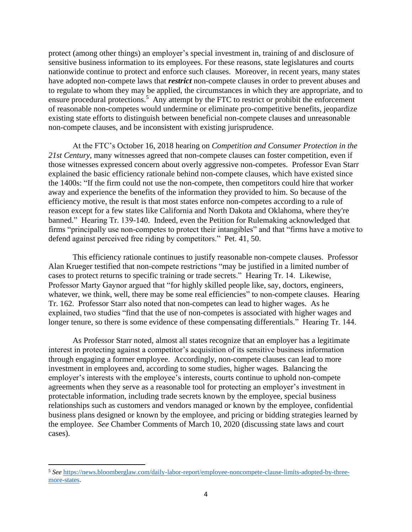protect (among other things) an employer's special investment in, training of and disclosure of sensitive business information to its employees. For these reasons, state legislatures and courts nationwide continue to protect and enforce such clauses. Moreover, in recent years, many states have adopted non-compete laws that *restrict* non-compete clauses in order to prevent abuses and to regulate to whom they may be applied, the circumstances in which they are appropriate, and to ensure procedural protections.<sup>5</sup> Any attempt by the FTC to restrict or prohibit the enforcement of reasonable non-competes would undermine or eliminate pro-competitive benefits, jeopardize existing state efforts to distinguish between beneficial non-compete clauses and unreasonable non-compete clauses, and be inconsistent with existing jurisprudence.

At the FTC's October 16, 2018 hearing on *Competition and Consumer Protection in the 21st Century*, many witnesses agreed that non-compete clauses can foster competition, even if those witnesses expressed concern about overly aggressive non-competes. Professor Evan Starr explained the basic efficiency rationale behind non-compete clauses, which have existed since the 1400s: "If the firm could not use the non-compete, then competitors could hire that worker away and experience the benefits of the information they provided to him. So because of the efficiency motive, the result is that most states enforce non-competes according to a rule of reason except for a few states like California and North Dakota and Oklahoma, where they're banned." Hearing Tr. 139-140. Indeed, even the Petition for Rulemaking acknowledged that firms "principally use non-competes to protect their intangibles" and that "firms have a motive to defend against perceived free riding by competitors." Pet. 41, 50.

This efficiency rationale continues to justify reasonable non-compete clauses. Professor Alan Krueger testified that non-compete restrictions "may be justified in a limited number of cases to protect returns to specific training or trade secrets." Hearing Tr. 14. Likewise, Professor Marty Gaynor argued that "for highly skilled people like, say, doctors, engineers, whatever, we think, well, there may be some real efficiencies" to non-compete clauses. Hearing Tr. 162. Professor Starr also noted that non-competes can lead to higher wages. As he explained, two studies "find that the use of non-competes is associated with higher wages and longer tenure, so there is some evidence of these compensating differentials." Hearing Tr. 144.

As Professor Starr noted, almost all states recognize that an employer has a legitimate interest in protecting against a competitor's acquisition of its sensitive business information through engaging a former employee. Accordingly, non-compete clauses can lead to more investment in employees and, according to some studies, higher wages. Balancing the employer's interests with the employee's interests, courts continue to uphold non-compete agreements when they serve as a reasonable tool for protecting an employer's investment in protectable information, including trade secrets known by the employee, special business relationships such as customers and vendors managed or known by the employee, confidential business plans designed or known by the employee, and pricing or bidding strategies learned by the employee. *See* Chamber Comments of March 10, 2020 (discussing state laws and court cases).

<sup>5</sup> *See* [https://news.bloomberglaw.com/daily-labor-report/employee-noncompete-clause-limits-adopted-by-three](https://news.bloomberglaw.com/daily-labor-report/employee-noncompete-clause-limits-adopted-by-three-more-states)[more-states.](https://news.bloomberglaw.com/daily-labor-report/employee-noncompete-clause-limits-adopted-by-three-more-states)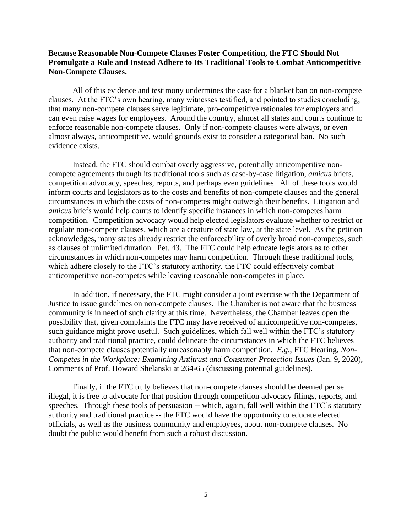## **Because Reasonable Non-Compete Clauses Foster Competition, the FTC Should Not Promulgate a Rule and Instead Adhere to Its Traditional Tools to Combat Anticompetitive Non-Compete Clauses.**

All of this evidence and testimony undermines the case for a blanket ban on non-compete clauses. At the FTC's own hearing, many witnesses testified, and pointed to studies concluding, that many non-compete clauses serve legitimate, pro-competitive rationales for employers and can even raise wages for employees. Around the country, almost all states and courts continue to enforce reasonable non-compete clauses. Only if non-compete clauses were always, or even almost always, anticompetitive, would grounds exist to consider a categorical ban. No such evidence exists.

Instead, the FTC should combat overly aggressive, potentially anticompetitive noncompete agreements through its traditional tools such as case-by-case litigation, *amicus* briefs, competition advocacy, speeches, reports, and perhaps even guidelines. All of these tools would inform courts and legislators as to the costs and benefits of non-compete clauses and the general circumstances in which the costs of non-competes might outweigh their benefits. Litigation and *amicus* briefs would help courts to identify specific instances in which non-competes harm competition. Competition advocacy would help elected legislators evaluate whether to restrict or regulate non-compete clauses, which are a creature of state law, at the state level. As the petition acknowledges, many states already restrict the enforceability of overly broad non-competes, such as clauses of unlimited duration. Pet. 43. The FTC could help educate legislators as to other circumstances in which non-competes may harm competition. Through these traditional tools, which adhere closely to the FTC's statutory authority, the FTC could effectively combat anticompetitive non-competes while leaving reasonable non-competes in place.

In addition, if necessary, the FTC might consider a joint exercise with the Department of Justice to issue guidelines on non-compete clauses. The Chamber is not aware that the business community is in need of such clarity at this time. Nevertheless, the Chamber leaves open the possibility that, given complaints the FTC may have received of anticompetitive non-competes, such guidance might prove useful. Such guidelines, which fall well within the FTC's statutory authority and traditional practice, could delineate the circumstances in which the FTC believes that non-compete clauses potentially unreasonably harm competition. *E.g*., FTC Hearing, *Non-Competes in the Workplace: Examining Antitrust and Consumer Protection Issues* (Jan. 9, 2020), Comments of Prof. Howard Shelanski at 264-65 (discussing potential guidelines).

Finally, if the FTC truly believes that non-compete clauses should be deemed per se illegal, it is free to advocate for that position through competition advocacy filings, reports, and speeches. Through these tools of persuasion -- which, again, fall well within the FTC's statutory authority and traditional practice -- the FTC would have the opportunity to educate elected officials, as well as the business community and employees, about non-compete clauses. No doubt the public would benefit from such a robust discussion.